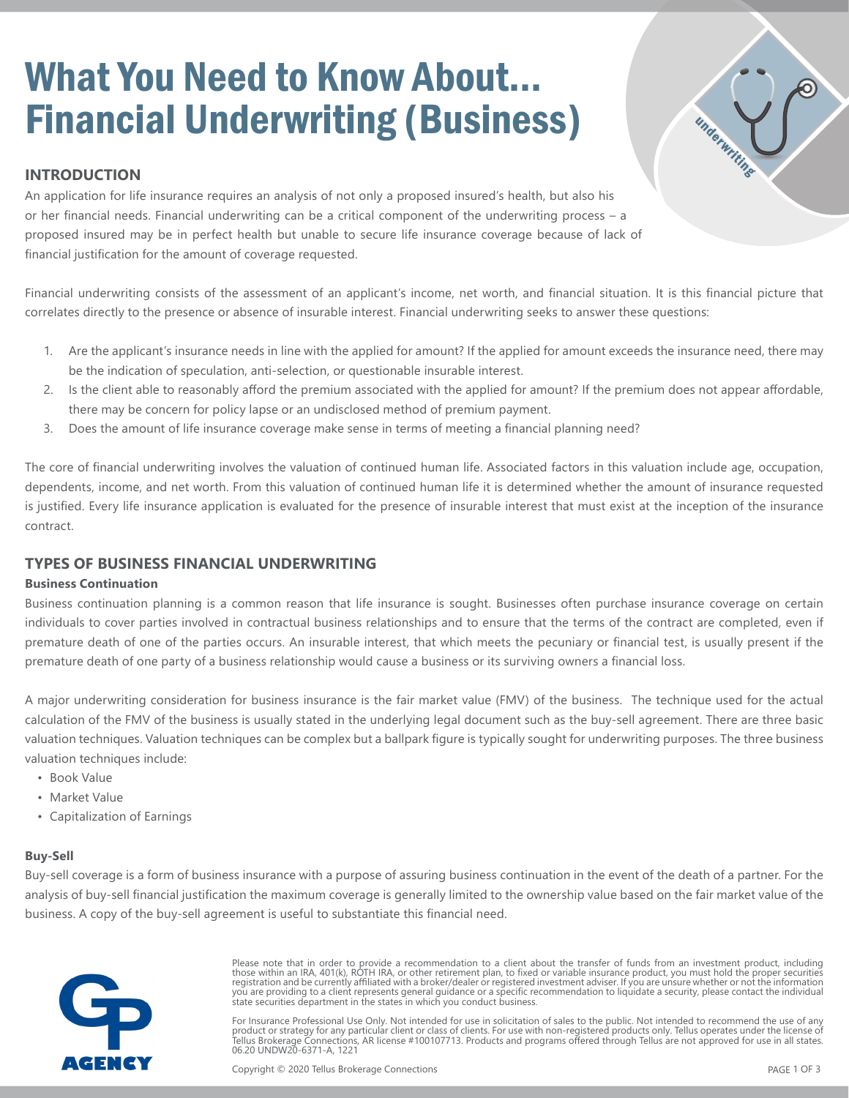# What You Need to Know About... Financial Underwriting (Business)

## **INTRODUCTION**

underwriting An application for life insurance requires an analysis of not only a proposed insured's health, but also his or her financial needs. Financial underwriting can be a critical component of the underwriting process – a proposed insured may be in perfect health but unable to secure life insurance coverage because of lack of financial justification for the amount of coverage requested.

Financial underwriting consists of the assessment of an applicant's income, net worth, and financial situation. It is this financial picture that correlates directly to the presence or absence of insurable interest. Financial underwriting seeks to answer these questions:

- 1. Are the applicant's insurance needs in line with the applied for amount? If the applied for amount exceeds the insurance need, there may be the indication of speculation, anti-selection, or questionable insurable interest.
- 2. Is the client able to reasonably afford the premium associated with the applied for amount? If the premium does not appear affordable, there may be concern for policy lapse or an undisclosed method of premium payment.
- 3. Does the amount of life insurance coverage make sense in terms of meeting a financial planning need?

The core of financial underwriting involves the valuation of continued human life. Associated factors in this valuation include age, occupation, dependents, income, and net worth. From this valuation of continued human life it is determined whether the amount of insurance requested is justified. Every life insurance application is evaluated for the presence of insurable interest that must exist at the inception of the insurance contract.

### **TYPES OF BUSINESS FINANCIAL UNDERWRITING**

#### **Business Continuation**

Business continuation planning is a common reason that life insurance is sought. Businesses often purchase insurance coverage on certain individuals to cover parties involved in contractual business relationships and to ensure that the terms of the contract are completed, even if premature death of one of the parties occurs. An insurable interest, that which meets the pecuniary or financial test, is usually present if the premature death of one party of a business relationship would cause a business or its surviving owners a financial loss.

A major underwriting consideration for business insurance is the fair market value (FMV) of the business. The technique used for the actual calculation of the FMV of the business is usually stated in the underlying legal document such as the buy-sell agreement. There are three basic valuation techniques. Valuation techniques can be complex but a ballpark figure is typically sought for underwriting purposes. The three business valuation techniques include:

- Book Value
- Market Value
- Capitalization of Earnings

#### **Buy-Sell**

Buy-sell coverage is a form of business insurance with a purpose of assuring business continuation in the event of the death of a partner. For the analysis of buy-sell financial justification the maximum coverage is generally limited to the ownership value based on the fair market value of the business. A copy of the buy-sell agreement is useful to substantiate this financial need.



Please note that in order to provide a recommendation to a client about the transfer of funds from an investment product, including those within an IRA, 401(k), ROTH IRA, or other retirement plan, to fixed or variable insurance product, you must hold the proper securities registration and be currently affiliated with a broker/dealer or registered investment adviser. If you are unsure whether or not the information<br>you are providing to a client represents general guidance or a specific recom state securities department in the states in which you conduct business.

For Insurance Professional Use Only. Not intended for use in solicitation of sales to the public. Not intended to recommend the use of any product or strategy for any particular client or class of clients. For use with non-registered products only. Tellus operates under the license of<br>Tellus Brokerage Connections, AR license #100107713. Products and programs 06.20 UNDW20-6371-A, 1221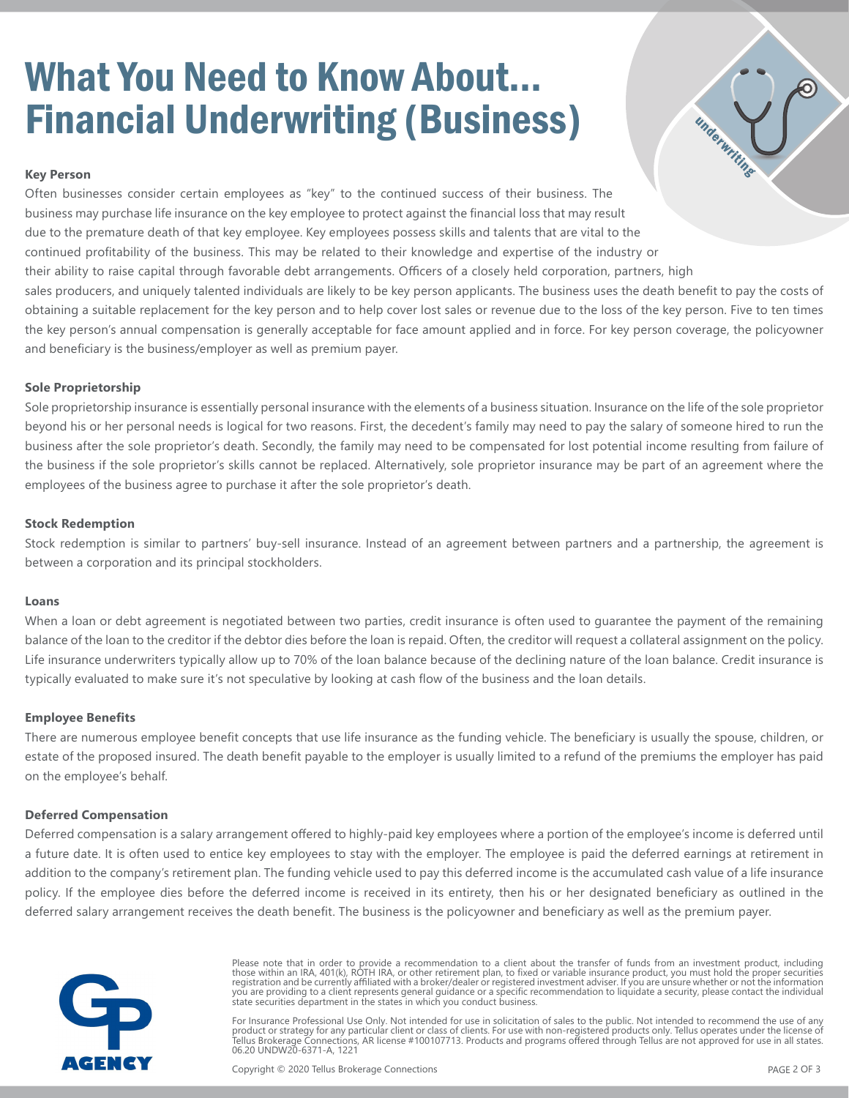# What You Need to Know About... Financial Underwriting (Business)



#### **Key Person**

Often businesses consider certain employees as "key" to the continued success of their business. The business may purchase life insurance on the key employee to protect against the financial loss that may result due to the premature death of that key employee. Key employees possess skills and talents that are vital to the continued profitability of the business. This may be related to their knowledge and expertise of the industry or their ability to raise capital through favorable debt arrangements. Officers of a closely held corporation, partners, high sales producers, and uniquely talented individuals are likely to be key person applicants. The business uses the death benefit to pay the costs of obtaining a suitable replacement for the key person and to help cover lost sales or revenue due to the loss of the key person. Five to ten times the key person's annual compensation is generally acceptable for face amount applied and in force. For key person coverage, the policyowner and beneficiary is the business/employer as well as premium payer.

#### **Sole Proprietorship**

Sole proprietorship insurance is essentially personal insurance with the elements of a business situation. Insurance on the life of the sole proprietor beyond his or her personal needs is logical for two reasons. First, the decedent's family may need to pay the salary of someone hired to run the business after the sole proprietor's death. Secondly, the family may need to be compensated for lost potential income resulting from failure of the business if the sole proprietor's skills cannot be replaced. Alternatively, sole proprietor insurance may be part of an agreement where the employees of the business agree to purchase it after the sole proprietor's death.

#### **Stock Redemption**

Stock redemption is similar to partners' buy-sell insurance. Instead of an agreement between partners and a partnership, the agreement is between a corporation and its principal stockholders.

#### **Loans**

When a loan or debt agreement is negotiated between two parties, credit insurance is often used to guarantee the payment of the remaining balance of the loan to the creditor if the debtor dies before the loan is repaid. Often, the creditor will request a collateral assignment on the policy. Life insurance underwriters typically allow up to 70% of the loan balance because of the declining nature of the loan balance. Credit insurance is typically evaluated to make sure it's not speculative by looking at cash flow of the business and the loan details.

#### **Employee Benefits**

There are numerous employee benefit concepts that use life insurance as the funding vehicle. The beneficiary is usually the spouse, children, or estate of the proposed insured. The death benefit payable to the employer is usually limited to a refund of the premiums the employer has paid on the employee's behalf.

#### **Deferred Compensation**

Deferred compensation is a salary arrangement offered to highly-paid key employees where a portion of the employee's income is deferred until a future date. It is often used to entice key employees to stay with the employer. The employee is paid the deferred earnings at retirement in addition to the company's retirement plan. The funding vehicle used to pay this deferred income is the accumulated cash value of a life insurance policy. If the employee dies before the deferred income is received in its entirety, then his or her designated beneficiary as outlined in the deferred salary arrangement receives the death benefit. The business is the policyowner and beneficiary as well as the premium payer.



Please note that in order to provide a recommendation to a client about the transfer of funds from an investment product, including those within an IRA, 401(k), ROTH IRA, or other retirement plan, to fixed or variable insurance product, you must hold the proper securities registration and be currently affiliated with a broker/dealer or registered investment adviser. If you are unsure whether or not the information<br>you are providing to a client represents general guidance or a specific recom state securities department in the states in which you conduct business.

For Insurance Professional Use Only. Not intended for use in solicitation of sales to the public. Not intended to recommend the use of any product or strategy for any particular client or class of clients. For use with non-registered products only. Tellus operates under the license of<br>Tellus Brokerage Connections, AR license #100107713. Products and programs 06.20 UNDW20-6371-A, 1221